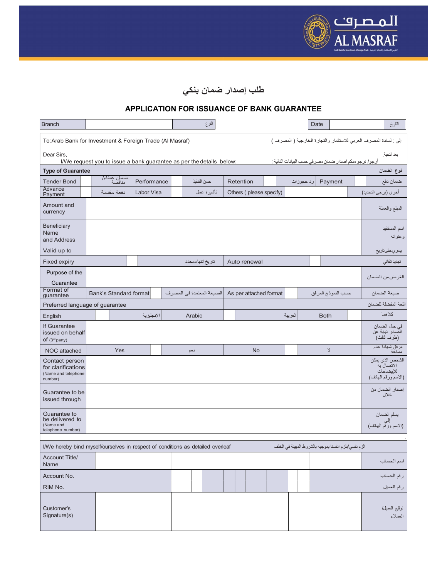

## طلب إصدار ضمان بنكي

## APPLICATION FOR ISSUANCE OF BANK GUARANTEE

| <b>Branch</b>                                                                      |  |                        |  |             |  |     |                  | الفرع                     |  |                         |  |           |  |                         |           | Date |                    |                                                          |  | التاريخ                                                            |
|------------------------------------------------------------------------------------|--|------------------------|--|-------------|--|-----|------------------|---------------------------|--|-------------------------|--|-----------|--|-------------------------|-----------|------|--------------------|----------------------------------------------------------|--|--------------------------------------------------------------------|
| To: Arab Bank for Investment & Foreign Trade (Al Masraf)                           |  |                        |  |             |  |     |                  |                           |  |                         |  |           |  |                         |           |      |                    |                                                          |  | إلى :السادة المصرف العربي للاستثمار والتجارة الخارجية ( المصرف )   |
| Dear Sirs,<br>I/We request you to issue a bank guarantee as per the details below: |  |                        |  |             |  |     |                  |                           |  |                         |  |           |  |                         |           |      |                    | أرجو/ نرجو منكم اصدار ضمان مصر في حسب البيانات التالية : |  | بعد التحية.                                                        |
| <b>Type of Guarantee</b>                                                           |  |                        |  |             |  |     |                  |                           |  |                         |  |           |  |                         |           |      |                    |                                                          |  | نوع الضمان                                                         |
| <b>Tender Bond</b>                                                                 |  | ضمان عطاء/<br>مناقصة   |  | Performance |  |     | حسن التنفيذ      |                           |  | Retention               |  |           |  |                         | رد حجوزات |      | Payment            |                                                          |  | ضمان دفع                                                           |
| Advance<br>Payment                                                                 |  | دفعة مقدمة             |  | Labor Visa  |  |     |                  | تأشيرة عمل                |  | Others (please specify) |  |           |  |                         |           |      |                    |                                                          |  | أخرى (برجي التحديد)                                                |
| Amount and<br>currency                                                             |  |                        |  |             |  |     |                  |                           |  |                         |  |           |  |                         |           |      |                    |                                                          |  | المبلغ والعملة                                                     |
| Beneficiary<br>Name<br>and Address                                                 |  |                        |  |             |  |     |                  |                           |  |                         |  |           |  | اسم المستفيد<br>وعنوانه |           |      |                    |                                                          |  |                                                                    |
| Valid up to                                                                        |  |                        |  |             |  |     |                  |                           |  |                         |  |           |  |                         |           |      |                    |                                                          |  | يسري حتى تاريخ                                                     |
| Fixed expiry                                                                       |  |                        |  |             |  |     | تاريخ انتهاءمحدد |                           |  | Auto renewal            |  |           |  |                         |           |      |                    |                                                          |  | تجديد تلقائى                                                       |
| Purpose of the<br>Guarantee                                                        |  |                        |  |             |  |     |                  |                           |  |                         |  |           |  |                         |           |      |                    |                                                          |  | الغرضءن الضمان                                                     |
| Format of<br>guarantee                                                             |  | Bank's Standard format |  |             |  |     |                  | الصيغة المعتمدة في المصرف |  | As per attached format  |  |           |  |                         |           |      | حسب النموذج المرفق |                                                          |  | صبغة الضمان                                                        |
| Preferred language of guarantee                                                    |  |                        |  |             |  |     |                  |                           |  |                         |  |           |  |                         |           |      |                    |                                                          |  | اللغة المفضلة للضمان                                               |
| English                                                                            |  |                        |  | الإنجليزية  |  |     | Arabic           |                           |  |                         |  |           |  | العربية                 |           |      | <b>Both</b>        |                                                          |  | كلاهما                                                             |
| If Guarantee<br>issued on behalf<br>of (3 <sup>rd</sup> party)                     |  |                        |  |             |  |     |                  |                           |  |                         |  |           |  |                         |           |      |                    |                                                          |  | في حال الصمان<br>الصادر نيابة عن<br>(طرف ثالث)                     |
| NOC attached                                                                       |  | Yes                    |  |             |  | نعم |                  |                           |  |                         |  | <b>No</b> |  |                         |           |      | $\mathbf{\hat{y}}$ |                                                          |  | مرفق شهادة عدم<br>ممانعة                                           |
| Contact person<br>for clarifications<br>(Name and telephone<br>number)             |  |                        |  |             |  |     |                  |                           |  |                         |  |           |  |                         |           |      |                    |                                                          |  | الشخص الذي يمكن<br>الاتصال به<br>الإيضاحات<br>(الاسم ورقم المهاتف) |
| Guarantee to be<br>issued through                                                  |  |                        |  |             |  |     |                  |                           |  |                         |  |           |  |                         |           |      |                    |                                                          |  | إصدار الضمان من<br>خلال                                            |
| Guarantee to<br>be delivered to<br>(Name and<br>telephone number)                  |  |                        |  |             |  |     |                  |                           |  |                         |  |           |  |                         |           |      |                    |                                                          |  | يسلم الضمان<br>إلى<br>(الاسم ورقم المهاتف)                         |
| I/We hereby bind myself/ourselves in respect of conditions as detailed overleaf    |  |                        |  |             |  |     |                  |                           |  |                         |  |           |  |                         |           |      |                    | الزم نفسي/نلزم انفسنا بموجبه بالشروط المبينة في الخلف    |  |                                                                    |
|                                                                                    |  |                        |  |             |  |     |                  |                           |  |                         |  |           |  |                         |           |      |                    |                                                          |  |                                                                    |
| <b>Account Title/</b><br>Name                                                      |  |                        |  |             |  |     |                  |                           |  |                         |  |           |  |                         |           |      |                    |                                                          |  | اسم الحساب                                                         |
| Account No.                                                                        |  |                        |  |             |  |     |                  |                           |  |                         |  |           |  |                         |           |      |                    |                                                          |  | رقم الحساب                                                         |
| RIM No.                                                                            |  |                        |  |             |  |     |                  |                           |  |                         |  |           |  |                         |           |      |                    |                                                          |  | رقم العميل                                                         |
| Customer's<br>Signature(s)                                                         |  |                        |  |             |  |     |                  |                           |  |                         |  |           |  |                         |           |      |                    |                                                          |  | نوقيع العميل/<br>العملاء                                           |